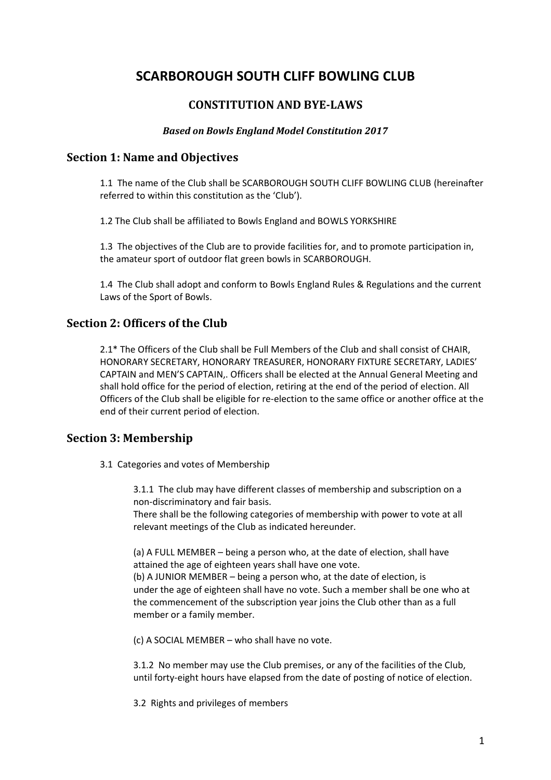# **SCARBOROUGH SOUTH CLIFF BOWLING CLUB**

# **CONSTITUTION AND BYE-LAWS**

## *Based on Bowls England Model Constitution 2017*

## **Section 1: Name and Objectives**

1.1 The name of the Club shall be SCARBOROUGH SOUTH CLIFF BOWLING CLUB (hereinafter referred to within this constitution as the 'Club').

1.2 The Club shall be affiliated to Bowls England and BOWLS YORKSHIRE

1.3 The objectives of the Club are to provide facilities for, and to promote participation in, the amateur sport of outdoor flat green bowls in SCARBOROUGH.

1.4 The Club shall adopt and conform to Bowls England Rules & Regulations and the current Laws of the Sport of Bowls.

# **Section 2: Officers of the Club**

2.1\* The Officers of the Club shall be Full Members of the Club and shall consist of CHAIR, HONORARY SECRETARY, HONORARY TREASURER, HONORARY FIXTURE SECRETARY, LADIES' CAPTAIN and MEN'S CAPTAIN,. Officers shall be elected at the Annual General Meeting and shall hold office for the period of election, retiring at the end of the period of election. All Officers of the Club shall be eligible for re‐election to the same office or another office at the end of their current period of election.

# **Section 3: Membership**

3.1 Categories and votes of Membership

3.1.1 The club may have different classes of membership and subscription on a non‐discriminatory and fair basis.

There shall be the following categories of membership with power to vote at all relevant meetings of the Club as indicated hereunder.

(a) A FULL MEMBER – being a person who, at the date of election, shall have attained the age of eighteen years shall have one vote. (b) A JUNIOR MEMBER – being a person who, at the date of election, is under the age of eighteen shall have no vote. Such a member shall be one who at the commencement of the subscription year joins the Club other than as a full member or a family member.

(c) A SOCIAL MEMBER – who shall have no vote.

3.1.2 No member may use the Club premises, or any of the facilities of the Club, until forty‐eight hours have elapsed from the date of posting of notice of election.

3.2 Rights and privileges of members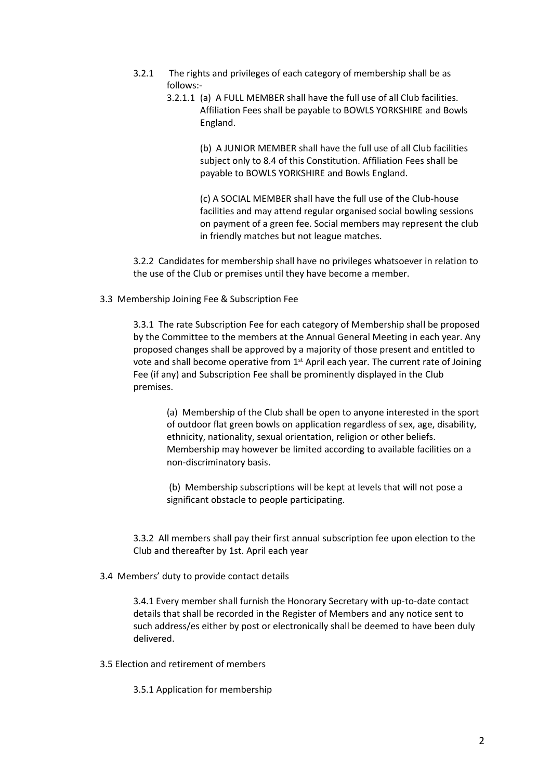- 3.2.1 The rights and privileges of each category of membership shall be as follows:‐
	- 3.2.1.1 (a) A FULL MEMBER shall have the full use of all Club facilities. Affiliation Fees shall be payable to BOWLS YORKSHIRE and Bowls England.

(b) A JUNIOR MEMBER shall have the full use of all Club facilities subject only to 8.4 of this Constitution. Affiliation Fees shall be payable to BOWLS YORKSHIRE and Bowls England.

(c) A SOCIAL MEMBER shall have the full use of the Club‐house facilities and may attend regular organised social bowling sessions on payment of a green fee. Social members may represent the club in friendly matches but not league matches.

3.2.2 Candidates for membership shall have no privileges whatsoever in relation to the use of the Club or premises until they have become a member.

3.3 Membership Joining Fee & Subscription Fee

3.3.1 The rate Subscription Fee for each category of Membership shall be proposed by the Committee to the members at the Annual General Meeting in each year. Any proposed changes shall be approved by a majority of those present and entitled to vote and shall become operative from 1<sup>st</sup> April each year. The current rate of Joining Fee (if any) and Subscription Fee shall be prominently displayed in the Club premises.

(a) Membership of the Club shall be open to anyone interested in the sport of outdoor flat green bowls on application regardless of sex, age, disability, ethnicity, nationality, sexual orientation, religion or other beliefs. Membership may however be limited according to available facilities on a non‐discriminatory basis.

(b) Membership subscriptions will be kept at levels that will not pose a significant obstacle to people participating.

3.3.2 All members shall pay their first annual subscription fee upon election to the Club and thereafter by 1st. April each year

3.4 Members' duty to provide contact details

3.4.1 Every member shall furnish the Honorary Secretary with up-to-date contact details that shall be recorded in the Register of Members and any notice sent to such address/es either by post or electronically shall be deemed to have been duly delivered.

3.5 Election and retirement of members

3.5.1 Application for membership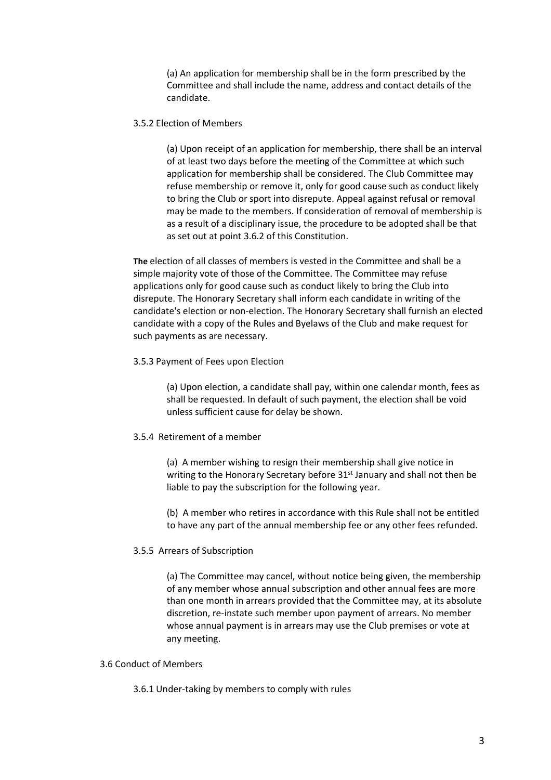(a) An application for membership shall be in the form prescribed by the Committee and shall include the name, address and contact details of the candidate.

### 3.5.2 Election of Members

(a) Upon receipt of an application for membership, there shall be an interval of at least two days before the meeting of the Committee at which such application for membership shall be considered. The Club Committee may refuse membership or remove it, only for good cause such as conduct likely to bring the Club or sport into disrepute. Appeal against refusal or removal may be made to the members. If consideration of removal of membership is as a result of a disciplinary issue, the procedure to be adopted shall be that as set out at point 3.6.2 of this Constitution.

**The** election of all classes of members is vested in the Committee and shall be a simple majority vote of those of the Committee. The Committee may refuse applications only for good cause such as conduct likely to bring the Club into disrepute. The Honorary Secretary shall inform each candidate in writing of the candidate's election or non‐election. The Honorary Secretary shall furnish an elected candidate with a copy of the Rules and Byelaws of the Club and make request for such payments as are necessary.

### 3.5.3 Payment of Fees upon Election

(a) Upon election, a candidate shall pay, within one calendar month, fees as shall be requested. In default of such payment, the election shall be void unless sufficient cause for delay be shown.

## 3.5.4 Retirement of a member

(a) A member wishing to resign their membership shall give notice in writing to the Honorary Secretary before 31<sup>st</sup> January and shall not then be liable to pay the subscription for the following year.

(b) A member who retires in accordance with this Rule shall not be entitled to have any part of the annual membership fee or any other fees refunded.

## 3.5.5 Arrears of Subscription

(a) The Committee may cancel, without notice being given, the membership of any member whose annual subscription and other annual fees are more than one month in arrears provided that the Committee may, at its absolute discretion, re‐instate such member upon payment of arrears. No member whose annual payment is in arrears may use the Club premises or vote at any meeting.

### 3.6 Conduct of Members

3.6.1 Under‐taking by members to comply with rules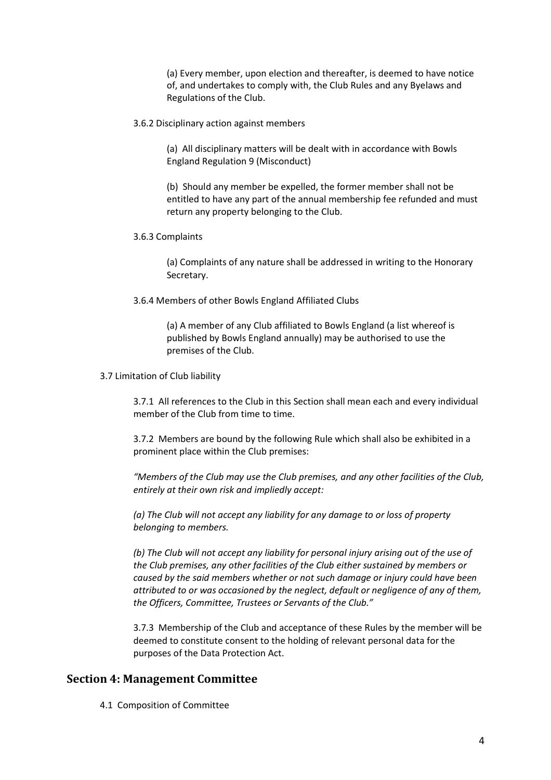(a) Every member, upon election and thereafter, is deemed to have notice of, and undertakes to comply with, the Club Rules and any Byelaws and Regulations of the Club.

3.6.2 Disciplinary action against members

(a) All disciplinary matters will be dealt with in accordance with Bowls England Regulation 9 (Misconduct)

(b) Should any member be expelled, the former member shall not be entitled to have any part of the annual membership fee refunded and must return any property belonging to the Club.

3.6.3 Complaints

(a) Complaints of any nature shall be addressed in writing to the Honorary Secretary.

3.6.4 Members of other Bowls England Affiliated Clubs

(a) A member of any Club affiliated to Bowls England (a list whereof is published by Bowls England annually) may be authorised to use the premises of the Club.

3.7 Limitation of Club liability

3.7.1 All references to the Club in this Section shall mean each and every individual member of the Club from time to time.

3.7.2 Members are bound by the following Rule which shall also be exhibited in a prominent place within the Club premises:

*"Members of the Club may use the Club premises, and any other facilities of the Club, entirely at their own risk and impliedly accept:* 

*(a) The Club will not accept any liability for any damage to or loss of property belonging to members.* 

*(b) The Club will not accept any liability for personal injury arising out of the use of the Club premises, any other facilities of the Club either sustained by members or caused by the said members whether or not such damage or injury could have been attributed to or was occasioned by the neglect, default or negligence of any of them, the Officers, Committee, Trustees or Servants of the Club."* 

3.7.3 Membership of the Club and acceptance of these Rules by the member will be deemed to constitute consent to the holding of relevant personal data for the purposes of the Data Protection Act.

## **Section 4: Management Committee**

4.1 Composition of Committee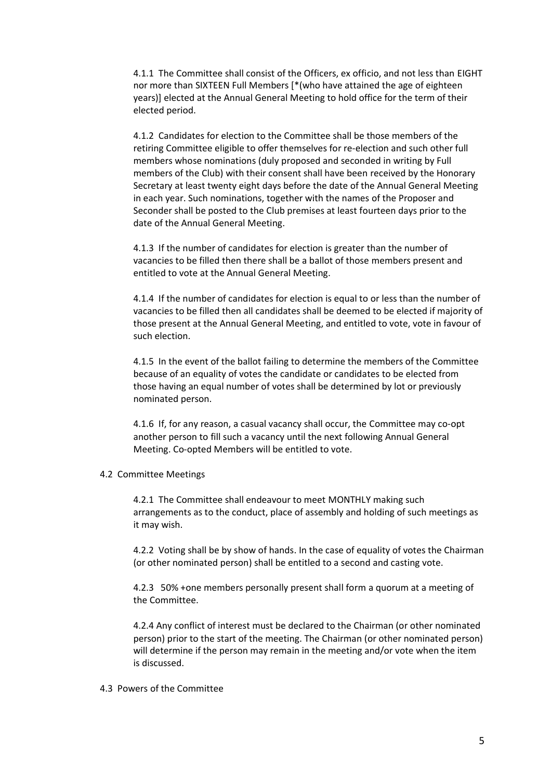4.1.1 The Committee shall consist of the Officers, ex officio, and not less than EIGHT nor more than SIXTEEN Full Members [\*(who have attained the age of eighteen years)] elected at the Annual General Meeting to hold office for the term of their elected period.

4.1.2 Candidates for election to the Committee shall be those members of the retiring Committee eligible to offer themselves for re‐election and such other full members whose nominations (duly proposed and seconded in writing by Full members of the Club) with their consent shall have been received by the Honorary Secretary at least twenty eight days before the date of the Annual General Meeting in each year. Such nominations, together with the names of the Proposer and Seconder shall be posted to the Club premises at least fourteen days prior to the date of the Annual General Meeting.

4.1.3 If the number of candidates for election is greater than the number of vacancies to be filled then there shall be a ballot of those members present and entitled to vote at the Annual General Meeting.

4.1.4 If the number of candidates for election is equal to or less than the number of vacancies to be filled then all candidates shall be deemed to be elected if majority of those present at the Annual General Meeting, and entitled to vote, vote in favour of such election.

4.1.5 In the event of the ballot failing to determine the members of the Committee because of an equality of votes the candidate or candidates to be elected from those having an equal number of votes shall be determined by lot or previously nominated person.

4.1.6 If, for any reason, a casual vacancy shall occur, the Committee may co-opt another person to fill such a vacancy until the next following Annual General Meeting. Co‐opted Members will be entitled to vote.

### 4.2 Committee Meetings

4.2.1 The Committee shall endeavour to meet MONTHLY making such arrangements as to the conduct, place of assembly and holding of such meetings as it may wish.

4.2.2 Voting shall be by show of hands. In the case of equality of votes the Chairman (or other nominated person) shall be entitled to a second and casting vote.

4.2.3 50% +one members personally present shall form a quorum at a meeting of the Committee.

4.2.4 Any conflict of interest must be declared to the Chairman (or other nominated person) prior to the start of the meeting. The Chairman (or other nominated person) will determine if the person may remain in the meeting and/or vote when the item is discussed.

#### 4.3 Powers of the Committee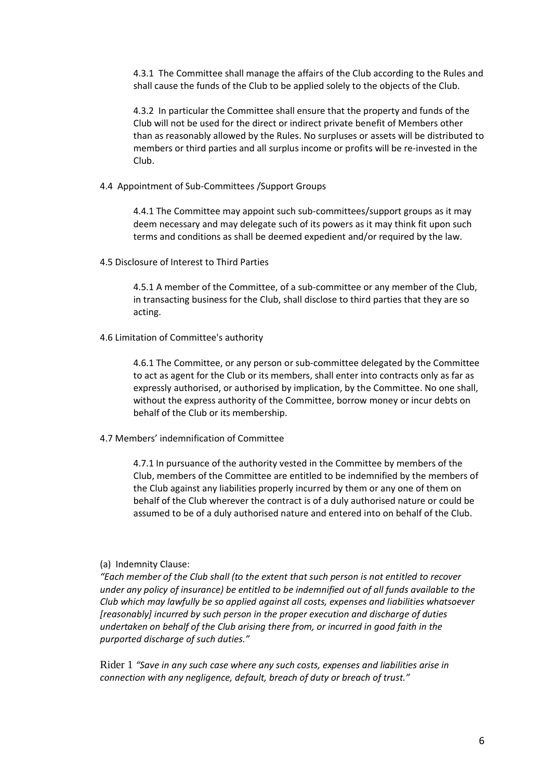4.3.1 The Committee shall manage the affairs of the Club according to the Rules and shall cause the funds of the Club to be applied solely to the objects of the Club.

4.3.2 In particular the Committee shall ensure that the property and funds of the Club will not be used for the direct or indirect private benefit of Members other than as reasonably allowed by the Rules. No surpluses or assets will be distributed to members or third parties and all surplus income or profits will be re‐invested in the Club.

4.4 Appointment of Sub‐Committees /Support Groups

4.4.1 The Committee may appoint such sub-committees/support groups as it may deem necessary and may delegate such of its powers as it may think fit upon such terms and conditions as shall be deemed expedient and/or required by the law.

4.5 Disclosure of Interest to Third Parties

4.5.1 A member of the Committee, of a sub‐committee or any member of the Club, in transacting business for the Club, shall disclose to third parties that they are so acting.

4.6 Limitation of Committee's authority

4.6.1 The Committee, or any person or sub‐committee delegated by the Committee to act as agent for the Club or its members, shall enter into contracts only as far as expressly authorised, or authorised by implication, by the Committee. No one shall, without the express authority of the Committee, borrow money or incur debts on behalf of the Club or its membership.

4.7 Members' indemnification of Committee

4.7.1 In pursuance of the authority vested in the Committee by members of the Club, members of the Committee are entitled to be indemnified by the members of the Club against any liabilities properly incurred by them or any one of them on behalf of the Club wherever the contract is of a duly authorised nature or could be assumed to be of a duly authorised nature and entered into on behalf of the Club.

### (a) Indemnity Clause:

*"Each member of the Club shall (to the extent that such person is not entitled to recover under any policy of insurance) be entitled to be indemnified out of all funds available to the Club which may lawfully be so applied against all costs, expenses and liabilities whatsoever [reasonably] incurred by such person in the proper execution and discharge of duties undertaken on behalf of the Club arising there from, or incurred in good faith in the purported discharge of such duties."* 

Rider 1 *"Save in any such case where any such costs, expenses and liabilities arise in connection with any negligence, default, breach of duty or breach of trust."*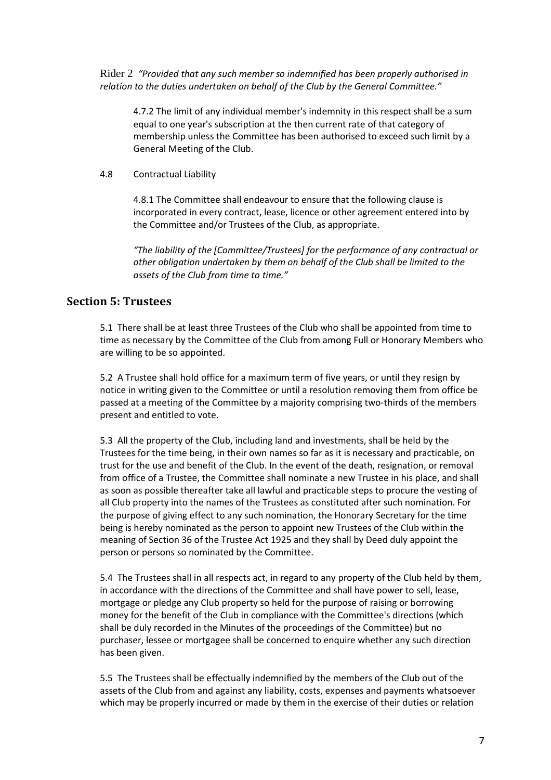Rider 2 *"Provided that any such member so indemnified has been properly authorised in relation to the duties undertaken on behalf of the Club by the General Committee."* 

4.7.2 The limit of any individual member's indemnity in this respect shall be a sum equal to one year's subscription at the then current rate of that category of membership unless the Committee has been authorised to exceed such limit by a General Meeting of the Club.

## 4.8 Contractual Liability

4.8.1 The Committee shall endeavour to ensure that the following clause is incorporated in every contract, lease, licence or other agreement entered into by the Committee and/or Trustees of the Club, as appropriate.

*"The liability of the [Committee/Trustees] for the performance of any contractual or other obligation undertaken by them on behalf of the Club shall be limited to the assets of the Club from time to time."* 

# **Section 5: Trustees**

5.1 There shall be at least three Trustees of the Club who shall be appointed from time to time as necessary by the Committee of the Club from among Full or Honorary Members who are willing to be so appointed.

5.2 A Trustee shall hold office for a maximum term of five years, or until they resign by notice in writing given to the Committee or until a resolution removing them from office be passed at a meeting of the Committee by a majority comprising two‐thirds of the members present and entitled to vote.

5.3 All the property of the Club, including land and investments, shall be held by the Trustees for the time being, in their own names so far as it is necessary and practicable, on trust for the use and benefit of the Club. In the event of the death, resignation, or removal from office of a Trustee, the Committee shall nominate a new Trustee in his place, and shall as soon as possible thereafter take all lawful and practicable steps to procure the vesting of all Club property into the names of the Trustees as constituted after such nomination. For the purpose of giving effect to any such nomination, the Honorary Secretary for the time being is hereby nominated as the person to appoint new Trustees of the Club within the meaning of Section 36 of the Trustee Act 1925 and they shall by Deed duly appoint the person or persons so nominated by the Committee.

5.4 The Trustees shall in all respects act, in regard to any property of the Club held by them, in accordance with the directions of the Committee and shall have power to sell, lease, mortgage or pledge any Club property so held for the purpose of raising or borrowing money for the benefit of the Club in compliance with the Committee's directions (which shall be duly recorded in the Minutes of the proceedings of the Committee) but no purchaser, lessee or mortgagee shall be concerned to enquire whether any such direction has been given.

5.5 The Trustees shall be effectually indemnified by the members of the Club out of the assets of the Club from and against any liability, costs, expenses and payments whatsoever which may be properly incurred or made by them in the exercise of their duties or relation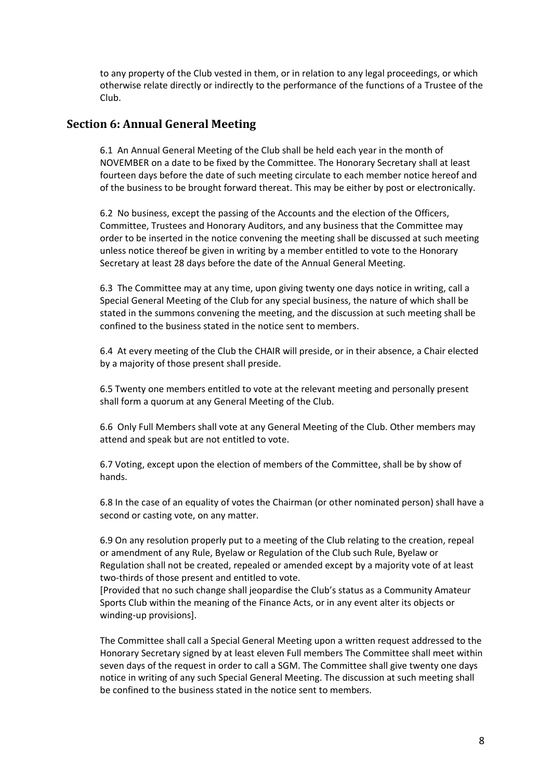to any property of the Club vested in them, or in relation to any legal proceedings, or which otherwise relate directly or indirectly to the performance of the functions of a Trustee of the Club.

## **Section 6: Annual General Meeting**

6.1 An Annual General Meeting of the Club shall be held each year in the month of NOVEMBER on a date to be fixed by the Committee. The Honorary Secretary shall at least fourteen days before the date of such meeting circulate to each member notice hereof and of the business to be brought forward thereat. This may be either by post or electronically.

6.2 No business, except the passing of the Accounts and the election of the Officers, Committee, Trustees and Honorary Auditors, and any business that the Committee may order to be inserted in the notice convening the meeting shall be discussed at such meeting unless notice thereof be given in writing by a member entitled to vote to the Honorary Secretary at least 28 days before the date of the Annual General Meeting.

6.3 The Committee may at any time, upon giving twenty one days notice in writing, call a Special General Meeting of the Club for any special business, the nature of which shall be stated in the summons convening the meeting, and the discussion at such meeting shall be confined to the business stated in the notice sent to members.

6.4 At every meeting of the Club the CHAIR will preside, or in their absence, a Chair elected by a majority of those present shall preside.

6.5 Twenty one members entitled to vote at the relevant meeting and personally present shall form a quorum at any General Meeting of the Club.

6.6 Only Full Members shall vote at any General Meeting of the Club. Other members may attend and speak but are not entitled to vote.

6.7 Voting, except upon the election of members of the Committee, shall be by show of hands.

6.8 In the case of an equality of votes the Chairman (or other nominated person) shall have a second or casting vote, on any matter.

6.9 On any resolution properly put to a meeting of the Club relating to the creation, repeal or amendment of any Rule, Byelaw or Regulation of the Club such Rule, Byelaw or Regulation shall not be created, repealed or amended except by a majority vote of at least two-thirds of those present and entitled to vote.

[Provided that no such change shall jeopardise the Club's status as a Community Amateur Sports Club within the meaning of the Finance Acts, or in any event alter its objects or winding‐up provisions].

The Committee shall call a Special General Meeting upon a written request addressed to the Honorary Secretary signed by at least eleven Full members The Committee shall meet within seven days of the request in order to call a SGM. The Committee shall give twenty one days notice in writing of any such Special General Meeting. The discussion at such meeting shall be confined to the business stated in the notice sent to members.